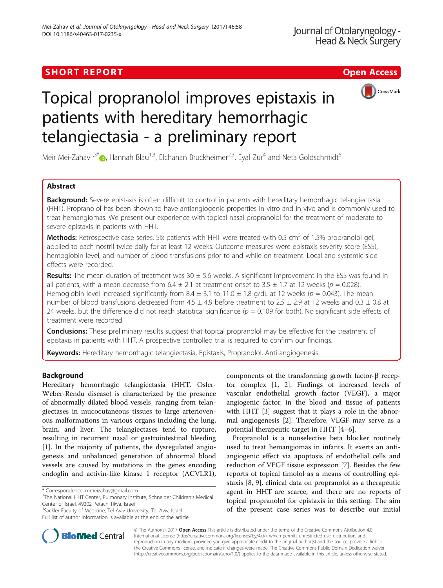## **SHORT REPORT CONTRACT CONTRACT CONTRACT CONTRACT CONTRACT CONTRACT CONTRACT CONTRACT CONTRACT CONTRACT CONTRACT CONTRACT CONTRACT CONTRACT CONTRACT CONTRACT CONTRACT CONTRACT CONTRACT CONTRACT CONTRACT CONTRACT CONTRACT C**



# Topical propranolol improves epistaxis in patients with hereditary hemorrhagic telangiectasia - a preliminary report

Meir Mei-Zahav<sup>1,3[\\*](http://orcid.org/0000-0002-6683-0264)</sup> $\odot$ , Hannah Blau<sup>1,3</sup>, Elchanan Bruckheimer<sup>2,3</sup>, Eyal Zur<sup>4</sup> and Neta Goldschmidt<sup>5</sup>

#### Abstract

Background: Severe epistaxis is often difficult to control in patients with hereditary hemorrhagic telangiectasia (HHT). Propranolol has been shown to have antiangiogenic properties in vitro and in vivo and is commonly used to treat hemangiomas. We present our experience with topical nasal propranolol for the treatment of moderate to severe epistaxis in patients with HHT.

**Methods:** Retrospective case series. Six patients with HHT were treated with 0.5 cm<sup>3</sup> of 1.5% propranolol gel, applied to each nostril twice daily for at least 12 weeks. Outcome measures were epistaxis severity score (ESS), hemoglobin level, and number of blood transfusions prior to and while on treatment. Local and systemic side effects were recorded.

**Results:** The mean duration of treatment was  $30 \pm 5.6$  weeks. A significant improvement in the ESS was found in all patients, with a mean decrease from  $6.4 \pm 2.1$  at treatment onset to  $3.5 \pm 1.7$  at 12 weeks ( $p = 0.028$ ). Hemoglobin level increased significantly from 8.4  $\pm$  3.1 to 11.0  $\pm$  1.8 g/dL at 12 weeks (p = 0.043). The mean number of blood transfusions decreased from 4.5  $\pm$  4.9 before treatment to 2.5  $\pm$  2.9 at 12 weeks and 0.3  $\pm$  0.8 at 24 weeks, but the difference did not reach statistical significance ( $p = 0.109$  for both). No significant side effects of treatment were recorded.

**Conclusions:** These preliminary results suggest that topical propranolol may be effective for the treatment of epistaxis in patients with HHT. A prospective controlled trial is required to confirm our findings.

Keywords: Hereditary hemorrhagic telangiectasia, Epistaxis, Propranolol, Anti-angiogenesis

#### Background

Hereditary hemorrhagic telangiectasia (HHT, Osler-Weber-Rendu disease) is characterized by the presence of abnormally dilated blood vessels, ranging from telangiectases in mucocutaneous tissues to large arteriovenous malformations in various organs including the lung, brain, and liver. The telangiectases tend to rupture, resulting in recurrent nasal or gastrointestinal bleeding [[1\]](#page-3-0). In the majority of patients, the dysregulated angiogenesis and unbalanced generation of abnormal blood vessels are caused by mutations in the genes encoding endoglin and activin-like kinase 1 receptor (ACVLR1),

Full list of author information is available at the end of the article

components of the transforming growth factor-β receptor complex [\[1](#page-3-0), [2](#page-3-0)]. Findings of increased levels of vascular endothelial growth factor (VEGF), a major angiogenic factor, in the blood and tissue of patients with HHT [\[3](#page-3-0)] suggest that it plays a role in the abnormal angiogenesis [\[2](#page-3-0)]. Therefore, VEGF may serve as a potential therapeutic target in HHT [[4](#page-3-0)–[6\]](#page-3-0).

Propranolol is a nonselective beta blocker routinely used to treat hemangiomas in infants. It exerts an antiangiogenic effect via apoptosis of endothelial cells and reduction of VEGF tissue expression [[7\]](#page-3-0). Besides the few reports of topical timolol as a means of controlling epistaxis [[8](#page-3-0), [9\]](#page-3-0), clinical data on propranolol as a therapeutic agent in HHT are scarce, and there are no reports of topical propranolol for epistaxis in this setting. The aim of the present case series was to describe our initial



© The Author(s). 2017 **Open Access** This article is distributed under the terms of the Creative Commons Attribution 4.0 International License [\(http://creativecommons.org/licenses/by/4.0/](http://creativecommons.org/licenses/by/4.0/)), which permits unrestricted use, distribution, and reproduction in any medium, provided you give appropriate credit to the original author(s) and the source, provide a link to the Creative Commons license, and indicate if changes were made. The Creative Commons Public Domain Dedication waiver [\(http://creativecommons.org/publicdomain/zero/1.0/](http://creativecommons.org/publicdomain/zero/1.0/)) applies to the data made available in this article, unless otherwise stated.

<sup>\*</sup> Correspondence: [mmeizahav@gmail.com](mailto:mmeizahav@gmail.com) <sup>1</sup>

<sup>&</sup>lt;sup>1</sup>The National HHT Center, Pulmonary Institute, Schneider Children's Medical Center of Israel, 49202 Petach Tikva, Israel

<sup>&</sup>lt;sup>3</sup>Sackler Faculty of Medicine, Tel Aviv University, Tel Aviv, Israel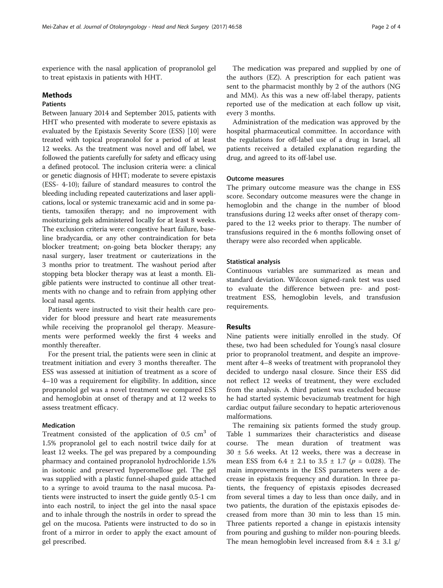experience with the nasal application of propranolol gel to treat epistaxis in patients with HHT.

#### **Methods**

#### Patients

Between January 2014 and September 2015, patients with HHT who presented with moderate to severe epistaxis as evaluated by the Epistaxis Severity Score (ESS) [\[10\]](#page-3-0) were treated with topical propranolol for a period of at least 12 weeks. As the treatment was novel and off label, we followed the patients carefully for safety and efficacy using a defined protocol. The inclusion criteria were: a clinical or genetic diagnosis of HHT; moderate to severe epistaxis (ESS- 4-10); failure of standard measures to control the bleeding including repeated cauterizations and laser applications, local or systemic tranexamic acid and in some patients, tamoxifen therapy; and no improvement with moisturizing gels administered locally for at least 8 weeks. The exclusion criteria were: congestive heart failure, baseline bradycardia, or any other contraindication for beta blocker treatment; on-going beta blocker therapy; any nasal surgery, laser treatment or cauterizations in the 3 months prior to treatment. The washout period after stopping beta blocker therapy was at least a month. Eligible patients were instructed to continue all other treatments with no change and to refrain from applying other local nasal agents.

Patients were instructed to visit their health care provider for blood pressure and heart rate measurements while receiving the propranolol gel therapy. Measurements were performed weekly the first 4 weeks and monthly thereafter.

For the present trial, the patients were seen in clinic at treatment initiation and every 3 months thereafter. The ESS was assessed at initiation of treatment as a score of 4–10 was a requirement for eligibility. In addition, since propranolol gel was a novel treatment we compared ESS and hemoglobin at onset of therapy and at 12 weeks to assess treatment efficacy.

#### Medication

Treatment consisted of the application of  $0.5 \text{ cm}^3$  of 1.5% propranolol gel to each nostril twice daily for at least 12 weeks. The gel was prepared by a compounding pharmacy and contained propranolol hydrochloride 1.5% in isotonic and preserved hyperomellose gel. The gel was supplied with a plastic funnel-shaped guide attached to a syringe to avoid trauma to the nasal mucosa. Patients were instructed to insert the guide gently 0.5-1 cm into each nostril, to inject the gel into the nasal space and to inhale through the nostrils in order to spread the gel on the mucosa. Patients were instructed to do so in front of a mirror in order to apply the exact amount of gel prescribed.

The medication was prepared and supplied by one of the authors (EZ). A prescription for each patient was sent to the pharmacist monthly by 2 of the authors (NG and MM). As this was a new off-label therapy, patients reported use of the medication at each follow up visit, every 3 months.

Administration of the medication was approved by the hospital pharmaceutical committee. In accordance with the regulations for off-label use of a drug in Israel, all patients received a detailed explanation regarding the drug, and agreed to its off-label use.

#### Outcome measures

The primary outcome measure was the change in ESS score. Secondary outcome measures were the change in hemoglobin and the change in the number of blood transfusions during 12 weeks after onset of therapy compared to the 12 weeks prior to therapy. The number of transfusions required in the 6 months following onset of therapy were also recorded when applicable.

#### Statistical analysis

Continuous variables are summarized as mean and standard deviation. Wilcoxon signed-rank test was used to evaluate the difference between pre- and posttreatment ESS, hemoglobin levels, and transfusion requirements.

#### Results

Nine patients were initially enrolled in the study. Of these, two had been scheduled for Young's nasal closure prior to propranolol treatment, and despite an improvement after 4–8 weeks of treatment with propranolol they decided to undergo nasal closure. Since their ESS did not reflect 12 weeks of treatment, they were excluded from the analysis. A third patient was excluded because he had started systemic bevacizumab treatment for high cardiac output failure secondary to hepatic arteriovenous malformations.

The remaining six patients formed the study group. Table [1](#page-2-0) summarizes their characteristics and disease course. The mean duration of treatment was  $30 \pm 5.6$  weeks. At 12 weeks, there was a decrease in mean ESS from  $6.4 \pm 2.1$  to  $3.5 \pm 1.7$  ( $p = 0.028$ ). The main improvements in the ESS parameters were a decrease in epistaxis frequency and duration. In three patients, the frequency of epistaxis episodes decreased from several times a day to less than once daily, and in two patients, the duration of the epistaxis episodes decreased from more than 30 min to less than 15 min. Three patients reported a change in epistaxis intensity from pouring and gushing to milder non-pouring bleeds. The mean hemoglobin level increased from  $8.4 \pm 3.1$  g/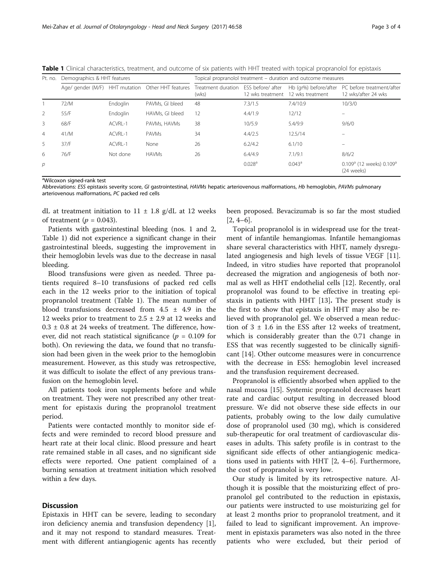| Pt. no.        | Demographics & HHT features    |          |                                       | Topical propranolol treatment - duration and outcome measures |                                       |                                           |                                                                |
|----------------|--------------------------------|----------|---------------------------------------|---------------------------------------------------------------|---------------------------------------|-------------------------------------------|----------------------------------------------------------------|
|                | Age/ gender (M/F) HHT mutation |          | Other HHT features Treatment duration | (wks)                                                         | ESS before/ after<br>12 wks treatment | Hb (gr%) before/after<br>12 wks treatment | PC before treatment/after<br>12 wks/after 24 wks               |
|                | 72/M                           | Endoglin | PAVMs. GI bleed                       | 48                                                            | 7.3/1.5                               | 7.4/10.9                                  | 10/3/0                                                         |
| 2              | 55/F                           | Endoglin | HAVMs. GI bleed                       | 12                                                            | 4.4/1.9                               | 12/12                                     |                                                                |
| 3              | 68/F                           | ACVRL-1  | PAVMs, HAVMs                          | 38                                                            | 10/5.9                                | 5.4/9.9                                   | 9/6/0                                                          |
| $\overline{4}$ | 41/M                           | ACVRI-1  | <b>PAVMs</b>                          | 34                                                            | 4.4/2.5                               | 12.5/14                                   |                                                                |
| 5              | 37/F                           | ACVRL-1  | None                                  | 26                                                            | 6.2/4.2                               | 6.1/10                                    |                                                                |
| 6              | 76/F                           | Not done | <b>HAVMs</b>                          | 26                                                            | 6.4/4.9                               | 7.1/9.1                                   | 8/6/2                                                          |
| р              |                                |          |                                       |                                                               | 0.028 <sup>a</sup>                    | $0.043^{\circ}$                           | 0.109 <sup>a</sup> (12 weeks) 0.109 <sup>a</sup><br>(24 weeks) |

<span id="page-2-0"></span>Table 1 Clinical characteristics, treatment, and outcome of six patients with HHT treated with topical propranolol for epistaxis

<sup>a</sup>Wilcoxon signed-rank test

Abbreviations: ESS epistaxis severity score, GI gastrointestinal, HAVMs hepatic arteriovenous malformations, Hb hemoglobin, PAVMs pulmonary arteriovenous malformations, PC packed red cells

dL at treatment initiation to  $11 \pm 1.8$  g/dL at 12 weeks of treatment ( $p = 0.043$ ).

Patients with gastrointestinal bleeding (nos. 1 and 2, Table 1) did not experience a significant change in their gastrointestinal bleeds, suggesting the improvement in their hemoglobin levels was due to the decrease in nasal bleeding.

Blood transfusions were given as needed. Three patients required 8–10 transfusions of packed red cells each in the 12 weeks prior to the initiation of topical propranolol treatment (Table 1). The mean number of blood transfusions decreased from  $4.5 \pm 4.9$  in the 12 weeks prior to treatment to  $2.5 \pm 2.9$  at 12 weeks and  $0.3 \pm 0.8$  at 24 weeks of treatment. The difference, however, did not reach statistical significance ( $p = 0.109$  for both). On reviewing the data, we found that no transfusion had been given in the week prior to the hemoglobin measurement. However, as this study was retrospective, it was difficult to isolate the effect of any previous transfusion on the hemoglobin level.

All patients took iron supplements before and while on treatment. They were not prescribed any other treatment for epistaxis during the propranolol treatment period.

Patients were contacted monthly to monitor side effects and were reminded to record blood pressure and heart rate at their local clinic. Blood pressure and heart rate remained stable in all cases, and no significant side effects were reported. One patient complained of a burning sensation at treatment initiation which resolved within a few days.

#### **Discussion**

Epistaxis in HHT can be severe, leading to secondary iron deficiency anemia and transfusion dependency [\[1](#page-3-0)], and it may not respond to standard measures. Treatment with different antiangiogenic agents has recently been proposed. Bevacizumab is so far the most studied  $[2, 4-6]$  $[2, 4-6]$  $[2, 4-6]$  $[2, 4-6]$ .

Topical propranolol is in widespread use for the treatment of infantile hemangiomas. Infantile hemangiomas share several characteristics with HHT, namely dysregulated angiogenesis and high levels of tissue VEGF [\[11](#page-3-0)]. Indeed, in vitro studies have reported that propranolol decreased the migration and angiogenesis of both normal as well as HHT endothelial cells [[12\]](#page-3-0). Recently, oral propranolol was found to be effective in treating epistaxis in patients with HHT [[13](#page-3-0)]. The present study is the first to show that epistaxis in HHT may also be relieved with propranolol gel. We observed a mean reduction of  $3 \pm 1.6$  in the ESS after 12 weeks of treatment, which is considerably greater than the 0.71 change in ESS that was recently suggested to be clinically significant [\[14](#page-3-0)]. Other outcome measures were in concurrence with the decrease in ESS: hemoglobin level increased and the transfusion requirement decreased.

Propranolol is efficiently absorbed when applied to the nasal mucosa [\[15](#page-3-0)]. Systemic propranolol decreases heart rate and cardiac output resulting in decreased blood pressure. We did not observe these side effects in our patients, probably owing to the low daily cumulative dose of propranolol used (30 mg), which is considered sub-therapeutic for oral treatment of cardiovascular diseases in adults. This safety profile is in contrast to the significant side effects of other antiangiogenic medications used in patients with HHT [[2, 4](#page-3-0)–[6](#page-3-0)]. Furthermore, the cost of propranolol is very low.

Our study is limited by its retrospective nature. Although it is possible that the moisturizing effect of propranolol gel contributed to the reduction in epistaxis, our patients were instructed to use moisturizing gel for at least 2 months prior to propranolol treatment, and it failed to lead to significant improvement. An improvement in epistaxis parameters was also noted in the three patients who were excluded, but their period of